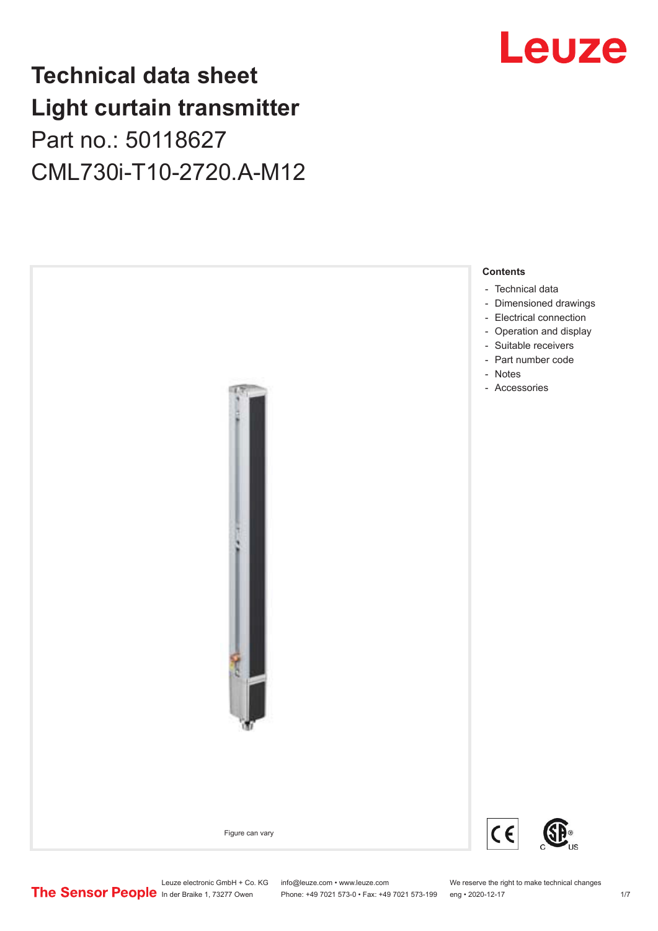## **Technical data sheet Light curtain transmitter** Part no.: 50118627 CML730i-T10-2720.A-M12





Leuze electronic GmbH + Co. KG info@leuze.com • www.leuze.com We reserve the right to make technical changes<br>
The Sensor People in der Braike 1, 73277 Owen Phone: +49 7021 573-0 • Fax: +49 7021 573-199 eng • 2020-12-17

Phone: +49 7021 573-0 • Fax: +49 7021 573-199 eng • 2020-12-17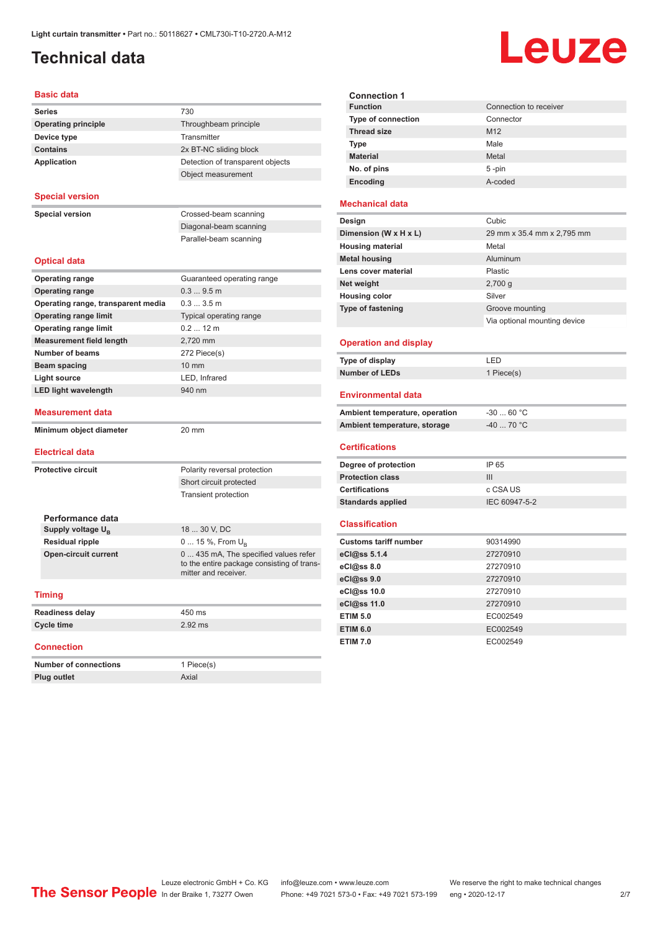## <span id="page-1-0"></span>**Technical data**

# Leuze

| <b>Basic data</b>                  |                                                                                                             |
|------------------------------------|-------------------------------------------------------------------------------------------------------------|
| <b>Series</b>                      | 730                                                                                                         |
| <b>Operating principle</b>         | Throughbeam principle                                                                                       |
| Device type                        | Transmitter                                                                                                 |
| <b>Contains</b>                    | 2x BT-NC sliding block                                                                                      |
| <b>Application</b>                 | Detection of transparent objects                                                                            |
|                                    | Object measurement                                                                                          |
| <b>Special version</b>             |                                                                                                             |
| <b>Special version</b>             | Crossed-beam scanning                                                                                       |
|                                    | Diagonal-beam scanning                                                                                      |
|                                    | Parallel-beam scanning                                                                                      |
| <b>Optical data</b>                |                                                                                                             |
| <b>Operating range</b>             | Guaranteed operating range                                                                                  |
| <b>Operating range</b>             | 0.39.5m                                                                                                     |
| Operating range, transparent media | 0.33.5m                                                                                                     |
| <b>Operating range limit</b>       | Typical operating range                                                                                     |
| <b>Operating range limit</b>       | 0.212 m                                                                                                     |
| <b>Measurement field length</b>    | 2.720 mm                                                                                                    |
| <b>Number of beams</b>             | 272 Piece(s)                                                                                                |
| Beam spacing                       | 10 mm                                                                                                       |
| <b>Light source</b>                | LED, Infrared                                                                                               |
| <b>LED light wavelength</b>        | 940 nm                                                                                                      |
| Measurement data                   |                                                                                                             |
| Minimum object diameter            | 20 mm                                                                                                       |
| <b>Electrical data</b>             |                                                                                                             |
| <b>Protective circuit</b>          | Polarity reversal protection                                                                                |
|                                    | Short circuit protected                                                                                     |
|                                    | <b>Transient protection</b>                                                                                 |
|                                    |                                                                                                             |
| Performance data                   |                                                                                                             |
| Supply voltage U <sub>R</sub>      | 18  30 V, DC                                                                                                |
| <b>Residual ripple</b>             | 0  15 %, From $U_{\rm B}$                                                                                   |
| <b>Open-circuit current</b>        | 0  435 mA, The specified values refer<br>to the entire package consisting of trans-<br>mitter and receiver. |
| <b>Timing</b>                      |                                                                                                             |
| <b>Readiness delay</b>             | 450 ms                                                                                                      |
| <b>Cycle time</b>                  | $2.92$ ms                                                                                                   |
| <b>Connection</b>                  |                                                                                                             |
| <b>Number of connections</b>       | 1 Piece(s)                                                                                                  |
| <b>Plug outlet</b>                 | Axial                                                                                                       |

| <b>Connection 1</b>       |                        |
|---------------------------|------------------------|
| <b>Function</b>           | Connection to receiver |
| <b>Type of connection</b> | Connector              |
| <b>Thread size</b>        | M <sub>12</sub>        |
| <b>Type</b>               | Male                   |
| <b>Material</b>           | Metal                  |
| No. of pins               | $5 - pin$              |
| Encoding                  | A-coded                |
|                           |                        |

#### **Mechanical data**

| Design                   | Cubic                        |
|--------------------------|------------------------------|
| Dimension (W x H x L)    | 29 mm x 35.4 mm x 2,795 mm   |
| <b>Housing material</b>  | Metal                        |
| <b>Metal housing</b>     | Aluminum                     |
| Lens cover material      | Plastic                      |
| Net weight               | $2,700$ q                    |
| <b>Housing color</b>     | Silver                       |
| <b>Type of fastening</b> | Groove mounting              |
|                          | Via optional mounting device |
|                          |                              |

#### **Operation and display**

| Type of display | ' FD.      |
|-----------------|------------|
| Number of LEDs  | 1 Piece(s) |

#### **Environmental data**

| Ambient temperature, operation | -30  60 °C |
|--------------------------------|------------|
| Ambient temperature, storage   | -40  70 °C |

#### **Certifications**

| Degree of protection     | IP 65         |
|--------------------------|---------------|
| <b>Protection class</b>  | Ш             |
| <b>Certifications</b>    | c CSA US      |
| <b>Standards applied</b> | IEC 60947-5-2 |

#### **Classification**

| <b>Customs tariff number</b> | 90314990 |
|------------------------------|----------|
| eCl@ss 5.1.4                 | 27270910 |
| eCl@ss 8.0                   | 27270910 |
| eCl@ss 9.0                   | 27270910 |
| eCl@ss 10.0                  | 27270910 |
| eCl@ss 11.0                  | 27270910 |
| <b>ETIM 5.0</b>              | EC002549 |
| <b>ETIM 6.0</b>              | EC002549 |
| <b>ETIM 7.0</b>              | EC002549 |

Leuze electronic GmbH + Co. KG info@leuze.com • www.leuze.com We reserve the right to make technical changes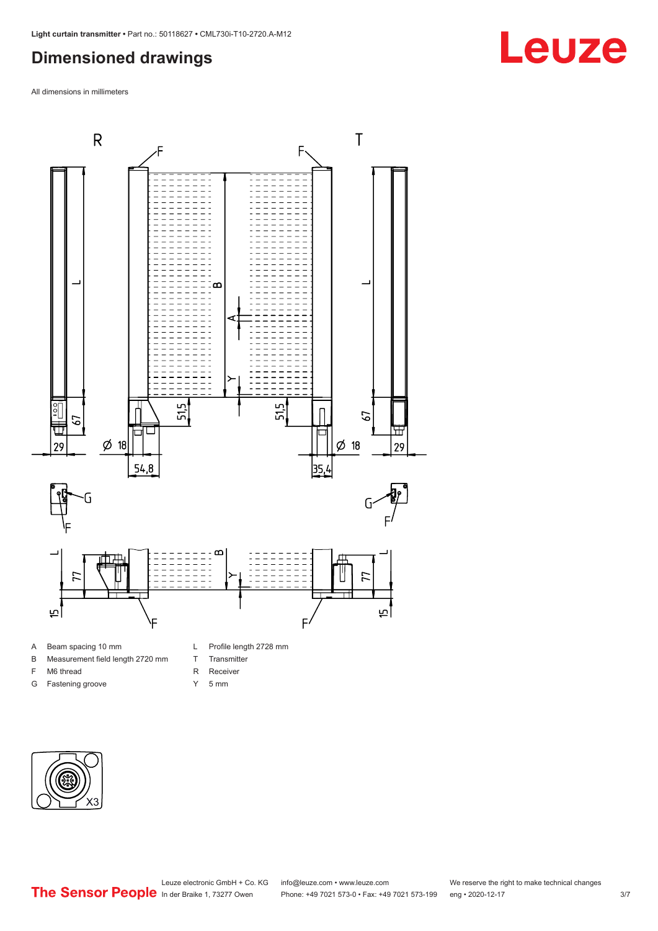## <span id="page-2-0"></span>**Dimensioned drawings**

All dimensions in millimeters



- A Beam spacing 10 mm
- B Measurement field length 2720 mm
- F M6 thread
- G Fastening groove
- L Profile length 2728 mm
- T Transmitter
- R Receiver
- Y 5 mm



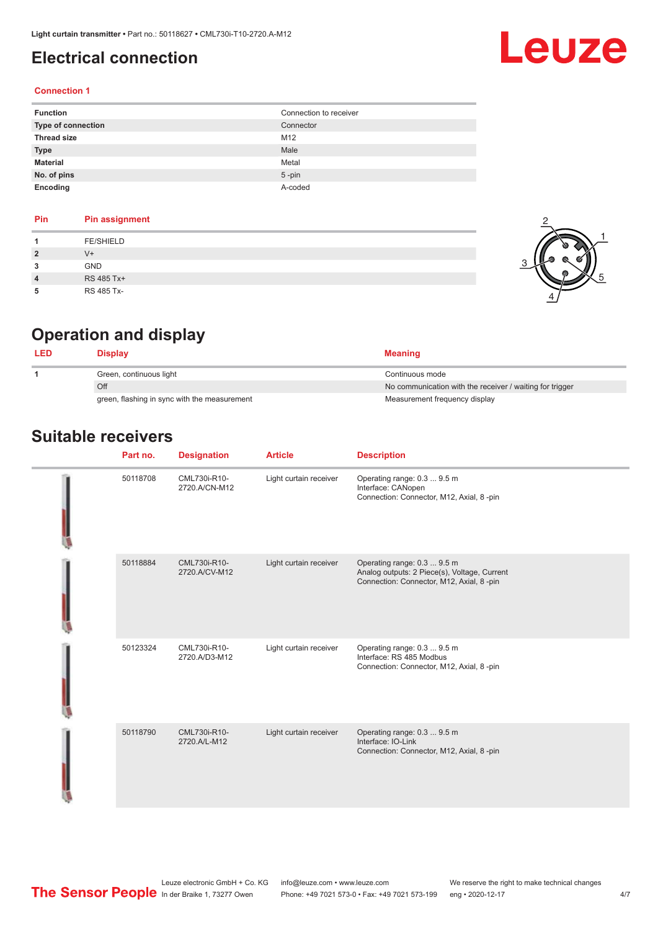### <span id="page-3-0"></span>**Electrical connection**

# Leuze

#### **Connection 1**

| <b>Function</b>    | Connection to receiver |
|--------------------|------------------------|
| Type of connection | Connector              |
| <b>Thread size</b> | M12                    |
| <b>Type</b>        | Male                   |
| <b>Material</b>    | Metal                  |
| No. of pins        | $5$ -pin               |
| Encoding           | A-coded                |

#### **Pin Pin assignment 1** FE/SHIELD **2** V+ **3** GND **4** RS 485 Tx+ **5** RS 485 Tx-



## **Operation and display**

| Display                                      | <b>Meaning</b>                                           |
|----------------------------------------------|----------------------------------------------------------|
| Green, continuous light                      | Continuous mode                                          |
| Off                                          | No communication with the receiver / waiting for trigger |
| green, flashing in sync with the measurement | Measurement frequency display                            |

### **Suitable receivers**

| Part no. | <b>Designation</b>            | <b>Article</b>         | <b>Description</b>                                                                                                       |
|----------|-------------------------------|------------------------|--------------------------------------------------------------------------------------------------------------------------|
| 50118708 | CML730i-R10-<br>2720.A/CN-M12 | Light curtain receiver | Operating range: 0.3  9.5 m<br>Interface: CANopen<br>Connection: Connector, M12, Axial, 8 -pin                           |
| 50118884 | CML730i-R10-<br>2720.A/CV-M12 | Light curtain receiver | Operating range: 0.3  9.5 m<br>Analog outputs: 2 Piece(s), Voltage, Current<br>Connection: Connector, M12, Axial, 8 -pin |
| 50123324 | CML730i-R10-<br>2720.A/D3-M12 | Light curtain receiver | Operating range: 0.3  9.5 m<br>Interface: RS 485 Modbus<br>Connection: Connector, M12, Axial, 8 -pin                     |
| 50118790 | CML730i-R10-<br>2720.A/L-M12  | Light curtain receiver | Operating range: 0.3  9.5 m<br>Interface: IO-Link<br>Connection: Connector, M12, Axial, 8 -pin                           |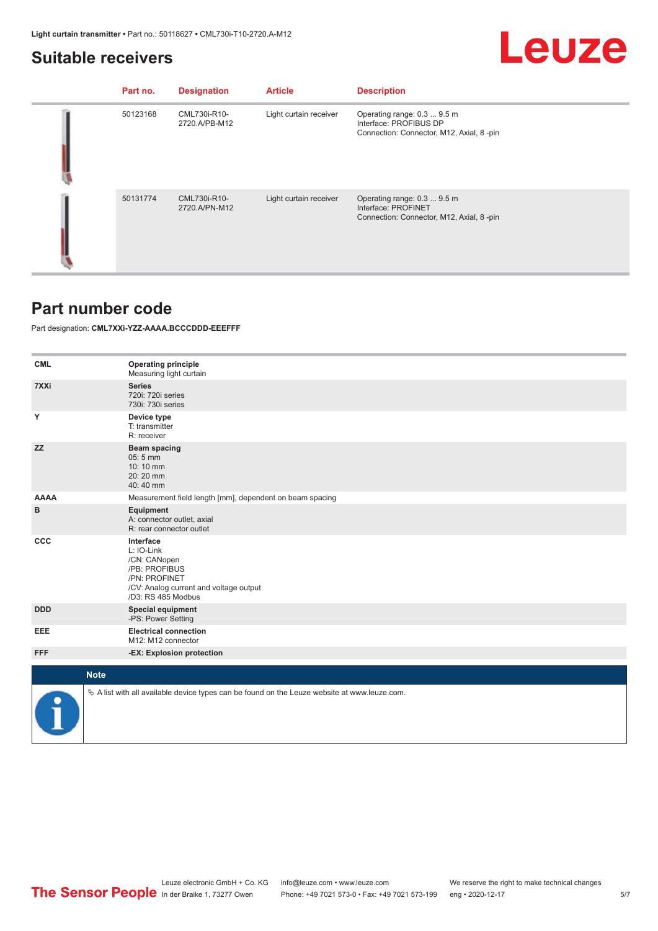#### <span id="page-4-0"></span>**Suitable receivers**

## Leuze

| Part no. | <b>Designation</b>            | <b>Article</b>         | <b>Description</b>                                                                                |
|----------|-------------------------------|------------------------|---------------------------------------------------------------------------------------------------|
| 50123168 | CML730i-R10-<br>2720.A/PB-M12 | Light curtain receiver | Operating range: 0.3  9.5 m<br>Interface: PROFIBUS DP<br>Connection: Connector, M12, Axial, 8-pin |
| 50131774 | CML730i-R10-<br>2720.A/PN-M12 | Light curtain receiver | Operating range: 0.3  9.5 m<br>Interface: PROFINET<br>Connection: Connector, M12, Axial, 8-pin    |

#### **Part number code**

Part designation: **CML7XXi-YZZ-AAAA.BCCCDDD-EEEFFF**

| <b>CML</b>  | <b>Operating principle</b><br>Measuring light curtain                                                                                     |
|-------------|-------------------------------------------------------------------------------------------------------------------------------------------|
| 7XXi        | <b>Series</b><br>720i: 720i series<br>730i: 730i series                                                                                   |
| Υ           | Device type<br>T: transmitter<br>R: receiver                                                                                              |
| <b>ZZ</b>   | Beam spacing<br>$05:5$ mm<br>10:10 mm<br>20:20 mm<br>40:40 mm                                                                             |
| <b>AAAA</b> | Measurement field length [mm], dependent on beam spacing                                                                                  |
| в           | Equipment<br>A: connector outlet, axial<br>R: rear connector outlet                                                                       |
| <b>CCC</b>  | Interface<br>L: IO-Link<br>/CN: CANopen<br>/PB: PROFIBUS<br>/PN: PROFINET<br>/CV: Analog current and voltage output<br>/D3: RS 485 Modbus |
| <b>DDD</b>  | <b>Special equipment</b><br>-PS: Power Setting                                                                                            |
| EEE         | <b>Electrical connection</b><br>M12: M12 connector                                                                                        |
| <b>FFF</b>  | -EX: Explosion protection                                                                                                                 |
| <b>Note</b> |                                                                                                                                           |
|             |                                                                                                                                           |
|             | $\&$ A list with all available device types can be found on the Leuze website at www.leuze.com.                                           |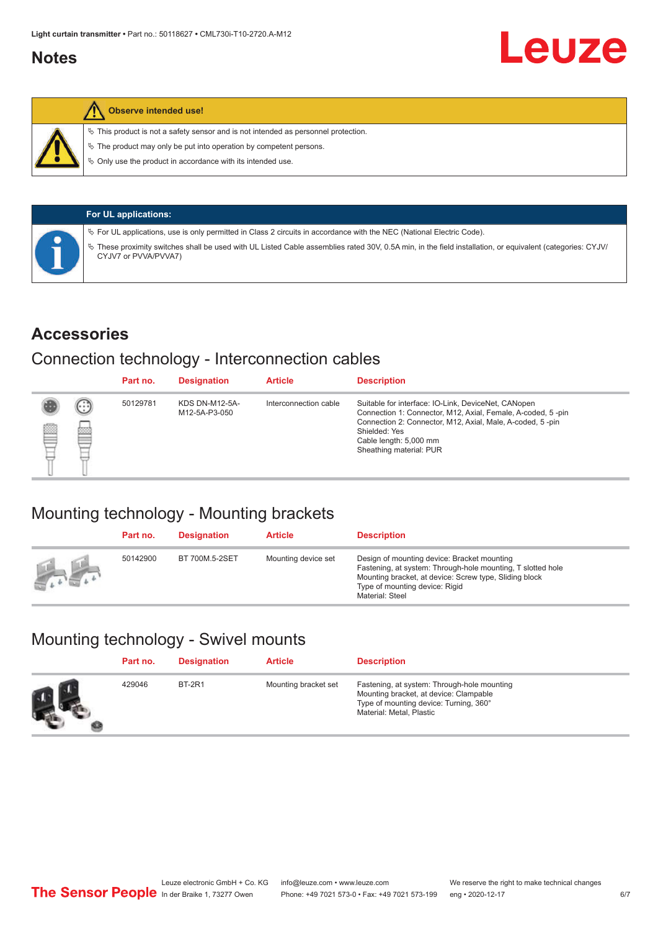### <span id="page-5-0"></span>**Notes**



#### **Observe intended use!**

 $\%$  This product is not a safety sensor and is not intended as personnel protection.

 $\%$  The product may only be put into operation by competent persons.

 $\%$  Only use the product in accordance with its intended use.

|  | <b>For UL applications:</b>                                                                                                                                                     |
|--|---------------------------------------------------------------------------------------------------------------------------------------------------------------------------------|
|  | $\%$ For UL applications, use is only permitted in Class 2 circuits in accordance with the NEC (National Electric Code).                                                        |
|  | These proximity switches shall be used with UL Listed Cable assemblies rated 30V, 0.5A min, in the field installation, or equivalent (categories: CYJV/<br>CYJV7 or PVVA/PVVA7) |

#### **Accessories**

#### Connection technology - Interconnection cables

|   |        | Part no. | <b>Designation</b>                     | <b>Article</b>        | <b>Description</b>                                                                                                                                                                                                                                    |
|---|--------|----------|----------------------------------------|-----------------------|-------------------------------------------------------------------------------------------------------------------------------------------------------------------------------------------------------------------------------------------------------|
| ▩ | ⊕<br>œ | 50129781 | <b>KDS DN-M12-5A-</b><br>M12-5A-P3-050 | Interconnection cable | Suitable for interface: IO-Link, DeviceNet, CANopen<br>Connection 1: Connector, M12, Axial, Female, A-coded, 5-pin<br>Connection 2: Connector, M12, Axial, Male, A-coded, 5-pin<br>Shielded: Yes<br>Cable length: 5,000 mm<br>Sheathing material: PUR |

## Mounting technology - Mounting brackets

|               | Part no. | <b>Designation</b> | <b>Article</b>      | <b>Description</b>                                                                                                                                                                                                        |
|---------------|----------|--------------------|---------------------|---------------------------------------------------------------------------------------------------------------------------------------------------------------------------------------------------------------------------|
| <b>Altres</b> | 50142900 | BT 700M.5-2SET     | Mounting device set | Design of mounting device: Bracket mounting<br>Fastening, at system: Through-hole mounting, T slotted hole<br>Mounting bracket, at device: Screw type, Sliding block<br>Type of mounting device: Rigid<br>Material: Steel |

## Mounting technology - Swivel mounts

| Part no. | <b>Designation</b> | <b>Article</b>       | <b>Description</b>                                                                                                                                          |
|----------|--------------------|----------------------|-------------------------------------------------------------------------------------------------------------------------------------------------------------|
| 429046   | <b>BT-2R1</b>      | Mounting bracket set | Fastening, at system: Through-hole mounting<br>Mounting bracket, at device: Clampable<br>Type of mounting device: Turning, 360°<br>Material: Metal, Plastic |

Leuze